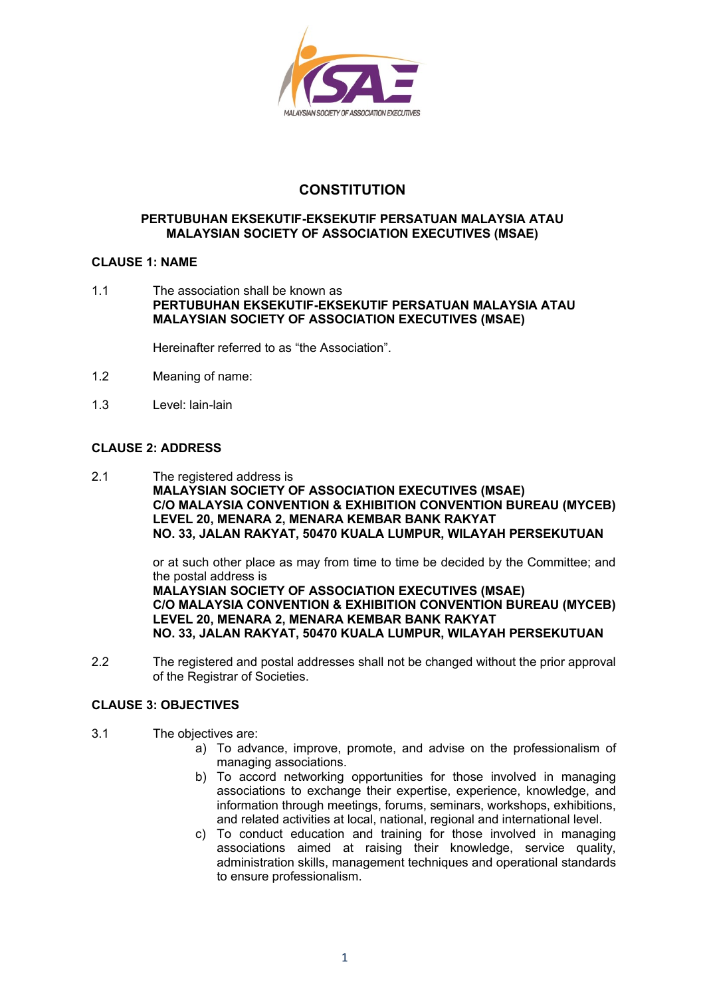

# **CONSTITUTION**

#### **PERTUBUHAN EKSEKUTIF-EKSEKUTIF PERSATUAN MALAYSIA ATAU MALAYSIAN SOCIETY OF ASSOCIATION EXECUTIVES (MSAE)**

### **CLAUSE 1: NAME**

1.1 The association shall be known as **PERTUBUHAN EKSEKUTIF-EKSEKUTIF PERSATUAN MALAYSIA ATAU MALAYSIAN SOCIETY OF ASSOCIATION EXECUTIVES (MSAE)**

Hereinafter referred to as "the Association".

- 1.2 Meaning of name:
- 1.3 Level: lain-lain

# **CLAUSE 2: ADDRESS**

2.1 The registered address is **MALAYSIAN SOCIETY OF ASSOCIATION EXECUTIVES (MSAE) C/O MALAYSIA CONVENTION & EXHIBITION CONVENTION BUREAU (MYCEB) LEVEL 20, MENARA 2, MENARA KEMBAR BANK RAKYAT NO. 33, JALAN RAKYAT, 50470 KUALA LUMPUR, WILAYAH PERSEKUTUAN**

> or at such other place as may from time to time be decided by the Committee; and the postal address is

> **MALAYSIAN SOCIETY OF ASSOCIATION EXECUTIVES (MSAE) C/O MALAYSIA CONVENTION & EXHIBITION CONVENTION BUREAU (MYCEB) LEVEL 20, MENARA 2, MENARA KEMBAR BANK RAKYAT NO. 33, JALAN RAKYAT, 50470 KUALA LUMPUR, WILAYAH PERSEKUTUAN**

2.2 The registered and postal addresses shall not be changed without the prior approval of the Registrar of Societies.

### **CLAUSE 3: OBJECTIVES**

- 3.1 The objectives are:
	- a) To advance, improve, promote, and advise on the professionalism of managing associations.
	- b) To accord networking opportunities for those involved in managing associations to exchange their expertise, experience, knowledge, and information through meetings, forums, seminars, workshops, exhibitions, and related activities at local, national, regional and international level.
	- c) To conduct education and training for those involved in managing associations aimed at raising their knowledge, service quality, administration skills, management techniques and operational standards to ensure professionalism.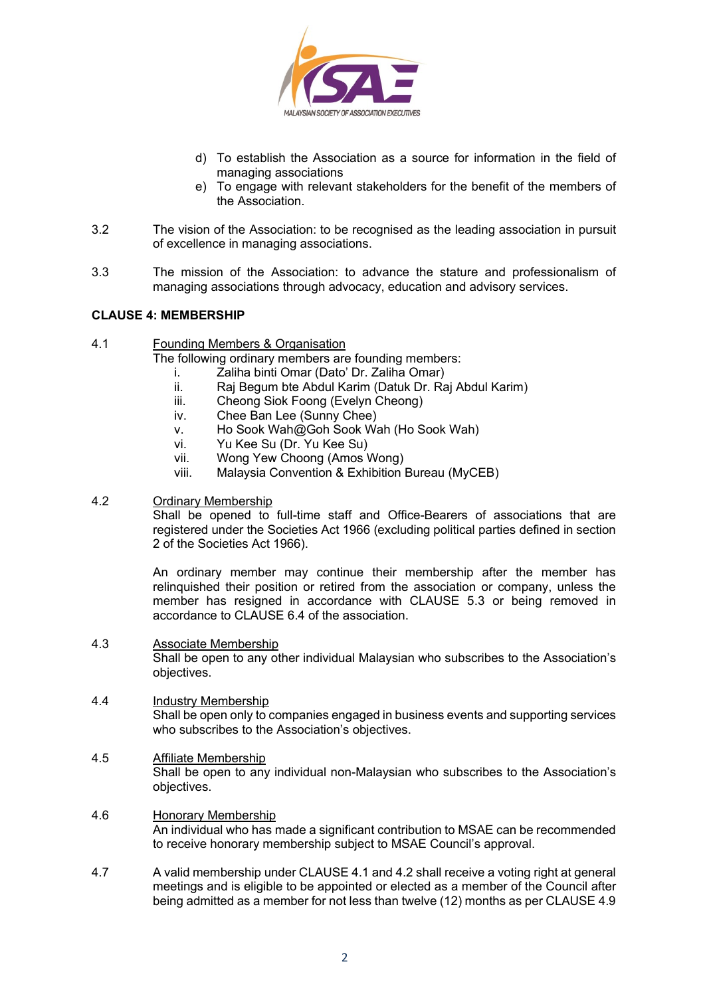

- d) To establish the Association as a source for information in the field of managing associations
- e) To engage with relevant stakeholders for the benefit of the members of the Association.
- 3.2 The vision of the Association: to be recognised as the leading association in pursuit of excellence in managing associations.
- 3.3 The mission of the Association: to advance the stature and professionalism of managing associations through advocacy, education and advisory services.

#### **CLAUSE 4: MEMBERSHIP**

4.1 Founding Members & Organisation

The following ordinary members are founding members:

- i. Zaliha binti Omar (Dato' Dr. Zaliha Omar)
- ii. Raj Begum bte Abdul Karim (Datuk Dr. Raj Abdul Karim)
- iii. Cheong Siok Foong (Evelyn Cheong)
- iv. Chee Ban Lee (Sunny Chee)
- v. Ho Sook Wah@Goh Sook Wah (Ho Sook Wah)
- vi. Yu Kee Su (Dr. Yu Kee Su)
- vii. Wong Yew Choong (Amos Wong)
- viii. Malaysia Convention & Exhibition Bureau (MyCEB)

#### 4.2 Ordinary Membership

Shall be opened to full-time staff and Office-Bearers of associations that are registered under the Societies Act 1966 (excluding political parties defined in section 2 of the Societies Act 1966).

An ordinary member may continue their membership after the member has relinquished their position or retired from the association or company, unless the member has resigned in accordance with CLAUSE 5.3 or being removed in accordance to CLAUSE 6.4 of the association.

#### 4.3 Associate Membership Shall be open to any other individual Malaysian who subscribes to the Association's objectives.

- 4.4 Industry Membership Shall be open only to companies engaged in business events and supporting services who subscribes to the Association's objectives.
- 4.5 Affiliate Membership Shall be open to any individual non-Malaysian who subscribes to the Association's objectives.
- 4.6 Honorary Membership An individual who has made a significant contribution to MSAE can be recommended to receive honorary membership subject to MSAE Council's approval.
- 4.7 A valid membership under CLAUSE 4.1 and 4.2 shall receive a voting right at general meetings and is eligible to be appointed or elected as a member of the Council after being admitted as a member for not less than twelve (12) months as per CLAUSE 4.9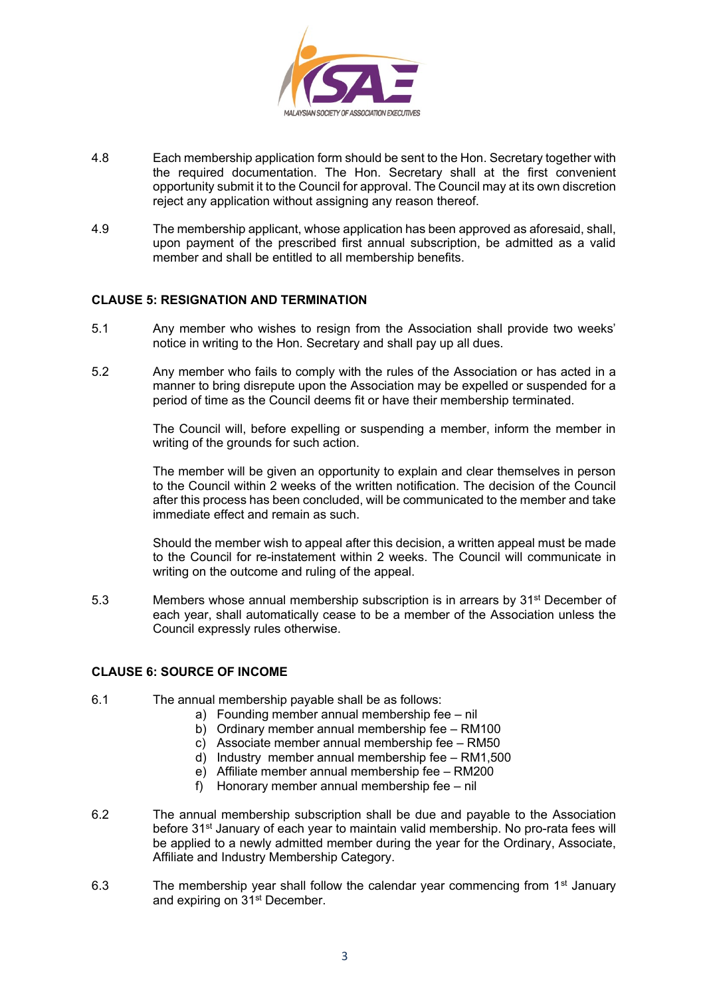

- 4.8 Each membership application form should be sent to the Hon. Secretary together with the required documentation. The Hon. Secretary shall at the first convenient opportunity submit it to the Council for approval. The Council may at its own discretion reject any application without assigning any reason thereof.
- 4.9 The membership applicant, whose application has been approved as aforesaid, shall, upon payment of the prescribed first annual subscription, be admitted as a valid member and shall be entitled to all membership benefits.

### **CLAUSE 5: RESIGNATION AND TERMINATION**

- 5.1 Any member who wishes to resign from the Association shall provide two weeks' notice in writing to the Hon. Secretary and shall pay up all dues.
- 5.2 Any member who fails to comply with the rules of the Association or has acted in a manner to bring disrepute upon the Association may be expelled or suspended for a period of time as the Council deems fit or have their membership terminated.

The Council will, before expelling or suspending a member, inform the member in writing of the grounds for such action.

The member will be given an opportunity to explain and clear themselves in person to the Council within 2 weeks of the written notification. The decision of the Council after this process has been concluded, will be communicated to the member and take immediate effect and remain as such.

Should the member wish to appeal after this decision, a written appeal must be made to the Council for re-instatement within 2 weeks. The Council will communicate in writing on the outcome and ruling of the appeal.

5.3 Members whose annual membership subscription is in arrears by 31st December of each year, shall automatically cease to be a member of the Association unless the Council expressly rules otherwise.

#### **CLAUSE 6: SOURCE OF INCOME**

- 6.1 The annual membership payable shall be as follows:
	- a) Founding member annual membership fee nil
	- b) Ordinary member annual membership fee RM100
	- c) Associate member annual membership fee RM50
	- d) Industry member annual membership fee RM1,500
	- e) Affiliate member annual membership fee RM200
	- f) Honorary member annual membership fee nil
- 6.2 The annual membership subscription shall be due and payable to the Association before 31<sup>st</sup> January of each year to maintain valid membership. No pro-rata fees will be applied to a newly admitted member during the year for the Ordinary, Associate, Affiliate and Industry Membership Category.
- 6.3 The membership year shall follow the calendar year commencing from  $1<sup>st</sup>$  January and expiring on 31<sup>st</sup> December.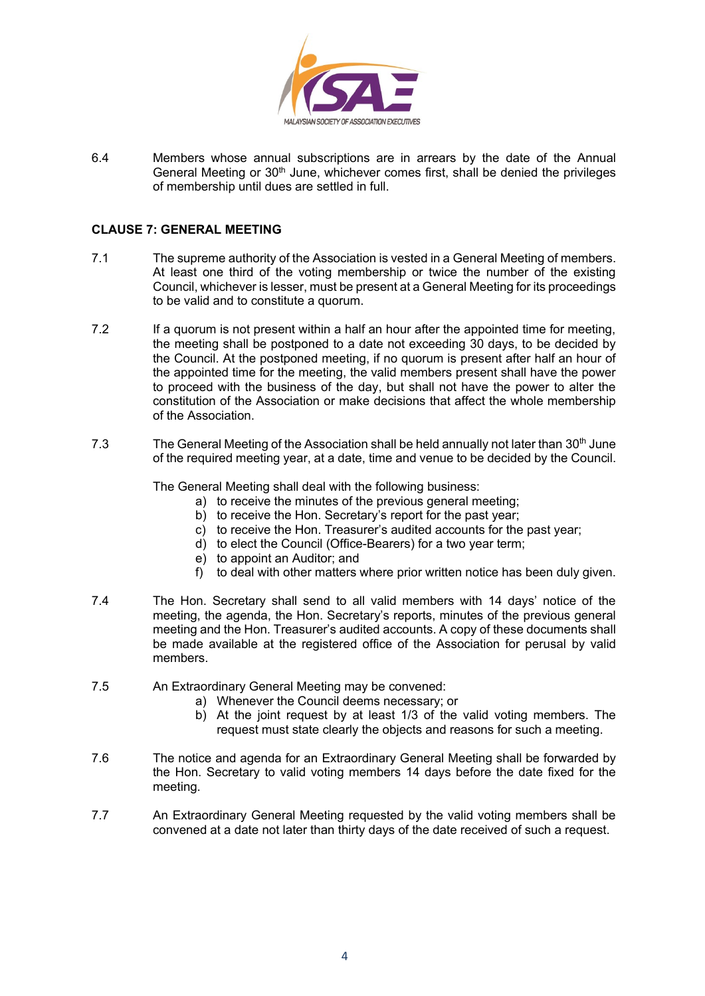

6.4 Members whose annual subscriptions are in arrears by the date of the Annual General Meeting or  $30<sup>th</sup>$  June, whichever comes first, shall be denied the privileges of membership until dues are settled in full.

### **CLAUSE 7: GENERAL MEETING**

- 7.1 The supreme authority of the Association is vested in a General Meeting of members. At least one third of the voting membership or twice the number of the existing Council, whichever is lesser, must be present at a General Meeting for its proceedings to be valid and to constitute a quorum.
- 7.2 If a quorum is not present within a half an hour after the appointed time for meeting, the meeting shall be postponed to a date not exceeding 30 days, to be decided by the Council. At the postponed meeting, if no quorum is present after half an hour of the appointed time for the meeting, the valid members present shall have the power to proceed with the business of the day, but shall not have the power to alter the constitution of the Association or make decisions that affect the whole membership of the Association.
- 7.3 The General Meeting of the Association shall be held annually not later than 30<sup>th</sup> June of the required meeting year, at a date, time and venue to be decided by the Council.

The General Meeting shall deal with the following business:

- a) to receive the minutes of the previous general meeting;
- b) to receive the Hon. Secretary's report for the past year;
- c) to receive the Hon. Treasurer's audited accounts for the past year;
- d) to elect the Council (Office-Bearers) for a two year term;
- e) to appoint an Auditor; and
- f) to deal with other matters where prior written notice has been duly given.
- 7.4 The Hon. Secretary shall send to all valid members with 14 days' notice of the meeting, the agenda, the Hon. Secretary's reports, minutes of the previous general meeting and the Hon. Treasurer's audited accounts. A copy of these documents shall be made available at the registered office of the Association for perusal by valid members.
- 7.5 An Extraordinary General Meeting may be convened:
	- a) Whenever the Council deems necessary; or
	- b) At the joint request by at least 1/3 of the valid voting members. The request must state clearly the objects and reasons for such a meeting.
- 7.6 The notice and agenda for an Extraordinary General Meeting shall be forwarded by the Hon. Secretary to valid voting members 14 days before the date fixed for the meeting.
- 7.7 An Extraordinary General Meeting requested by the valid voting members shall be convened at a date not later than thirty days of the date received of such a request.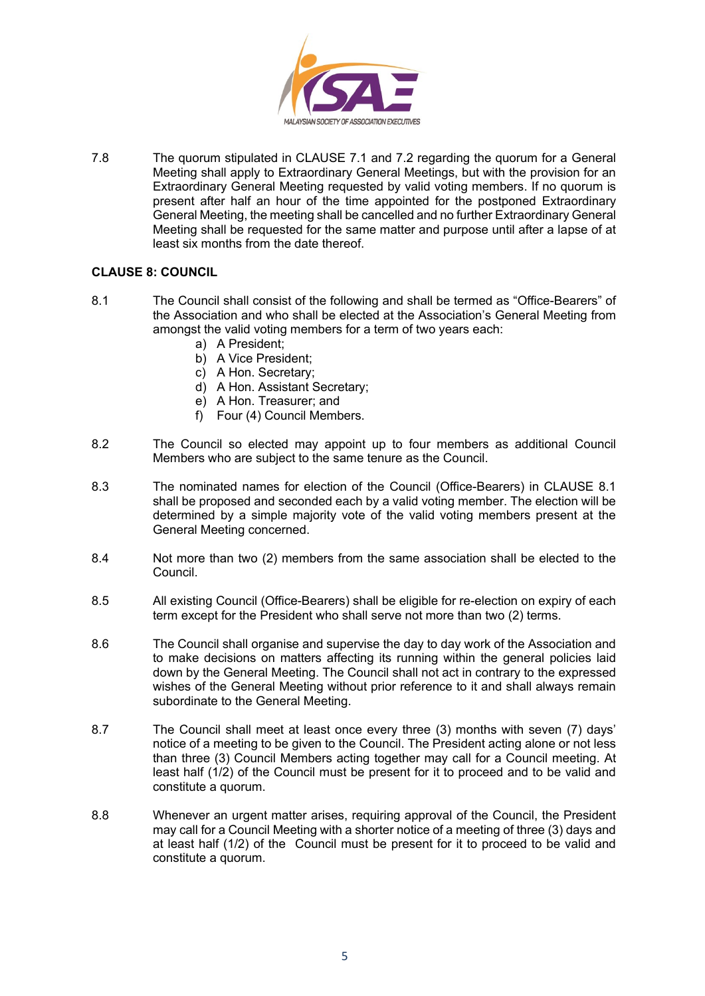

7.8 The quorum stipulated in CLAUSE 7.1 and 7.2 regarding the quorum for a General Meeting shall apply to Extraordinary General Meetings, but with the provision for an Extraordinary General Meeting requested by valid voting members. If no quorum is present after half an hour of the time appointed for the postponed Extraordinary General Meeting, the meeting shall be cancelled and no further Extraordinary General Meeting shall be requested for the same matter and purpose until after a lapse of at least six months from the date thereof.

# **CLAUSE 8: COUNCIL**

- 8.1 The Council shall consist of the following and shall be termed as "Office-Bearers" of the Association and who shall be elected at the Association's General Meeting from amongst the valid voting members for a term of two years each:
	- a) A President;
	- b) A Vice President;
	- c) A Hon. Secretary;
	- d) A Hon. Assistant Secretary;
	- e) A Hon. Treasurer; and
	- f) Four (4) Council Members.
- 8.2 The Council so elected may appoint up to four members as additional Council Members who are subject to the same tenure as the Council.
- 8.3 The nominated names for election of the Council (Office-Bearers) in CLAUSE 8.1 shall be proposed and seconded each by a valid voting member. The election will be determined by a simple majority vote of the valid voting members present at the General Meeting concerned.
- 8.4 Not more than two (2) members from the same association shall be elected to the Council.
- 8.5 All existing Council (Office-Bearers) shall be eligible for re-election on expiry of each term except for the President who shall serve not more than two (2) terms.
- 8.6 The Council shall organise and supervise the day to day work of the Association and to make decisions on matters affecting its running within the general policies laid down by the General Meeting. The Council shall not act in contrary to the expressed wishes of the General Meeting without prior reference to it and shall always remain subordinate to the General Meeting.
- 8.7 The Council shall meet at least once every three (3) months with seven (7) days' notice of a meeting to be given to the Council. The President acting alone or not less than three (3) Council Members acting together may call for a Council meeting. At least half (1/2) of the Council must be present for it to proceed and to be valid and constitute a quorum.
- 8.8 Whenever an urgent matter arises, requiring approval of the Council, the President may call for a Council Meeting with a shorter notice of a meeting of three (3) days and at least half (1/2) of the Council must be present for it to proceed to be valid and constitute a quorum.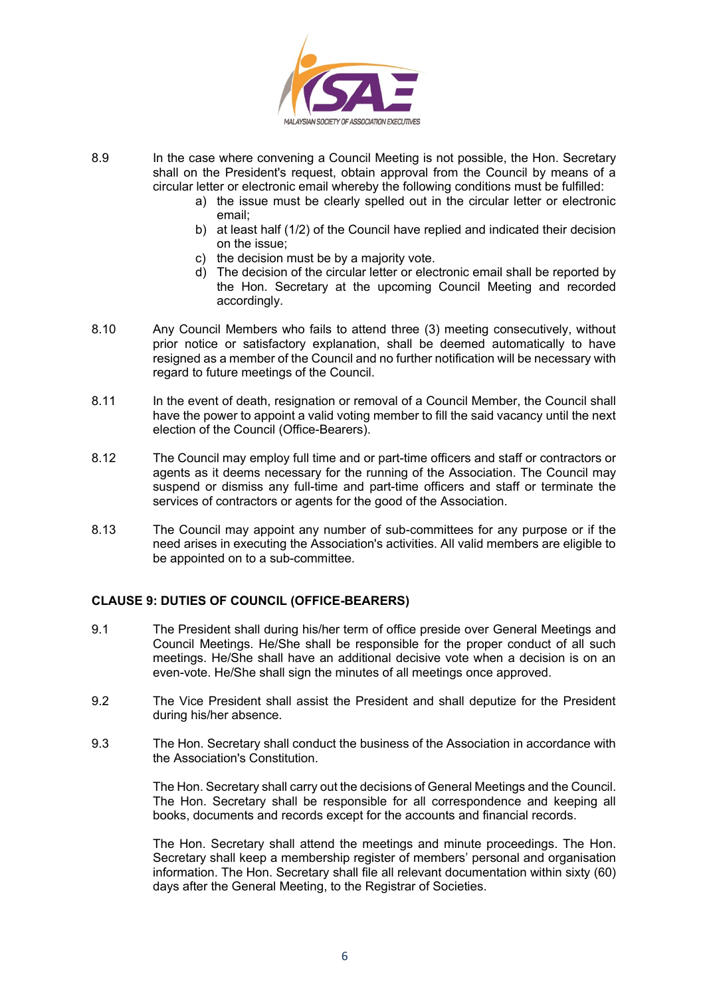

- 8.9 In the case where convening a Council Meeting is not possible, the Hon. Secretary shall on the President's request, obtain approval from the Council by means of a circular letter or electronic email whereby the following conditions must be fulfilled:
	- a) the issue must be clearly spelled out in the circular letter or electronic email;
	- b) at least half (1/2) of the Council have replied and indicated their decision on the issue;
	- c) the decision must be by a majority vote.
	- d) The decision of the circular letter or electronic email shall be reported by the Hon. Secretary at the upcoming Council Meeting and recorded accordingly.
- 8.10 Any Council Members who fails to attend three (3) meeting consecutively, without prior notice or satisfactory explanation, shall be deemed automatically to have resigned as a member of the Council and no further notification will be necessary with regard to future meetings of the Council.
- 8.11 In the event of death, resignation or removal of a Council Member, the Council shall have the power to appoint a valid voting member to fill the said vacancy until the next election of the Council (Office-Bearers).
- 8.12 The Council may employ full time and or part-time officers and staff or contractors or agents as it deems necessary for the running of the Association. The Council may suspend or dismiss any full-time and part-time officers and staff or terminate the services of contractors or agents for the good of the Association.
- 8.13 The Council may appoint any number of sub-committees for any purpose or if the need arises in executing the Association's activities. All valid members are eligible to be appointed on to a sub-committee.

# **CLAUSE 9: DUTIES OF COUNCIL (OFFICE-BEARERS)**

- 9.1 The President shall during his/her term of office preside over General Meetings and Council Meetings. He/She shall be responsible for the proper conduct of all such meetings. He/She shall have an additional decisive vote when a decision is on an even-vote. He/She shall sign the minutes of all meetings once approved.
- 9.2 The Vice President shall assist the President and shall deputize for the President during his/her absence.
- 9.3 The Hon. Secretary shall conduct the business of the Association in accordance with the Association's Constitution.

The Hon. Secretary shall carry out the decisions of General Meetings and the Council. The Hon. Secretary shall be responsible for all correspondence and keeping all books, documents and records except for the accounts and financial records.

The Hon. Secretary shall attend the meetings and minute proceedings. The Hon. Secretary shall keep a membership register of members' personal and organisation information. The Hon. Secretary shall file all relevant documentation within sixty (60) days after the General Meeting, to the Registrar of Societies.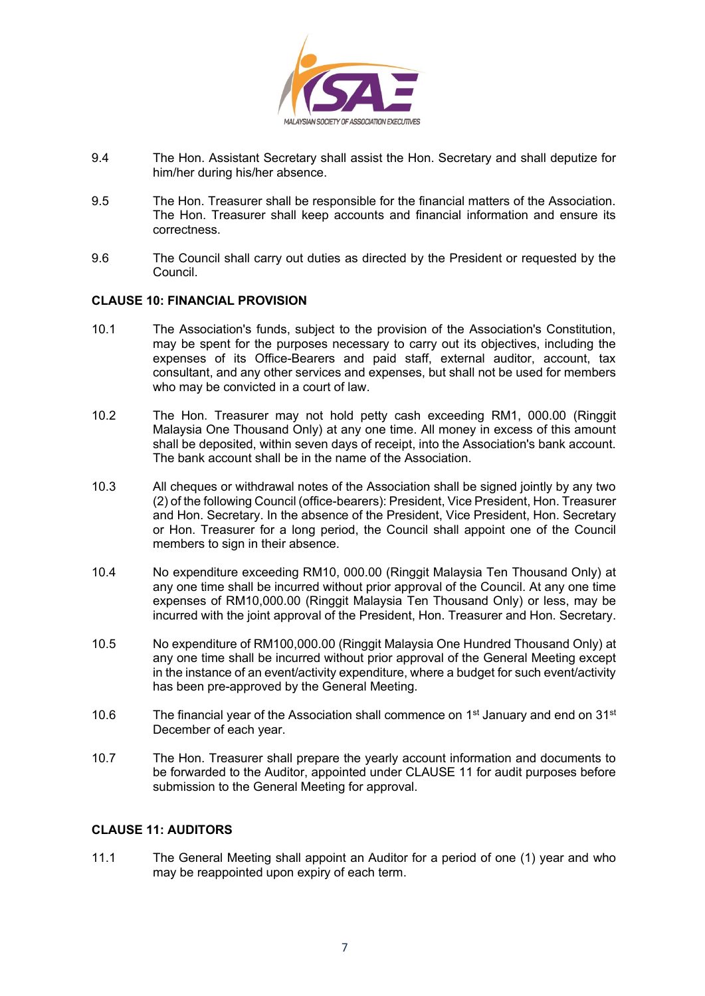

- 9.4 The Hon. Assistant Secretary shall assist the Hon. Secretary and shall deputize for him/her during his/her absence.
- 9.5 The Hon. Treasurer shall be responsible for the financial matters of the Association. The Hon. Treasurer shall keep accounts and financial information and ensure its correctness.
- 9.6 The Council shall carry out duties as directed by the President or requested by the Council.

#### **CLAUSE 10: FINANCIAL PROVISION**

- 10.1 The Association's funds, subject to the provision of the Association's Constitution, may be spent for the purposes necessary to carry out its objectives, including the expenses of its Office-Bearers and paid staff, external auditor, account, tax consultant, and any other services and expenses, but shall not be used for members who may be convicted in a court of law.
- 10.2 The Hon. Treasurer may not hold petty cash exceeding RM1, 000.00 (Ringgit Malaysia One Thousand Only) at any one time. All money in excess of this amount shall be deposited, within seven days of receipt, into the Association's bank account. The bank account shall be in the name of the Association.
- 10.3 All cheques or withdrawal notes of the Association shall be signed jointly by any two (2) of the following Council (office-bearers): President, Vice President, Hon. Treasurer and Hon. Secretary. In the absence of the President, Vice President, Hon. Secretary or Hon. Treasurer for a long period, the Council shall appoint one of the Council members to sign in their absence.
- 10.4 No expenditure exceeding RM10, 000.00 (Ringgit Malaysia Ten Thousand Only) at any one time shall be incurred without prior approval of the Council. At any one time expenses of RM10,000.00 (Ringgit Malaysia Ten Thousand Only) or less, may be incurred with the joint approval of the President, Hon. Treasurer and Hon. Secretary.
- 10.5 No expenditure of RM100,000.00 (Ringgit Malaysia One Hundred Thousand Only) at any one time shall be incurred without prior approval of the General Meeting except in the instance of an event/activity expenditure, where a budget for such event/activity has been pre-approved by the General Meeting.
- 10.6 The financial year of the Association shall commence on 1<sup>st</sup> January and end on 31<sup>st</sup> December of each year.
- 10.7 The Hon. Treasurer shall prepare the yearly account information and documents to be forwarded to the Auditor, appointed under CLAUSE 11 for audit purposes before submission to the General Meeting for approval.

# **CLAUSE 11: AUDITORS**

11.1 The General Meeting shall appoint an Auditor for a period of one (1) year and who may be reappointed upon expiry of each term.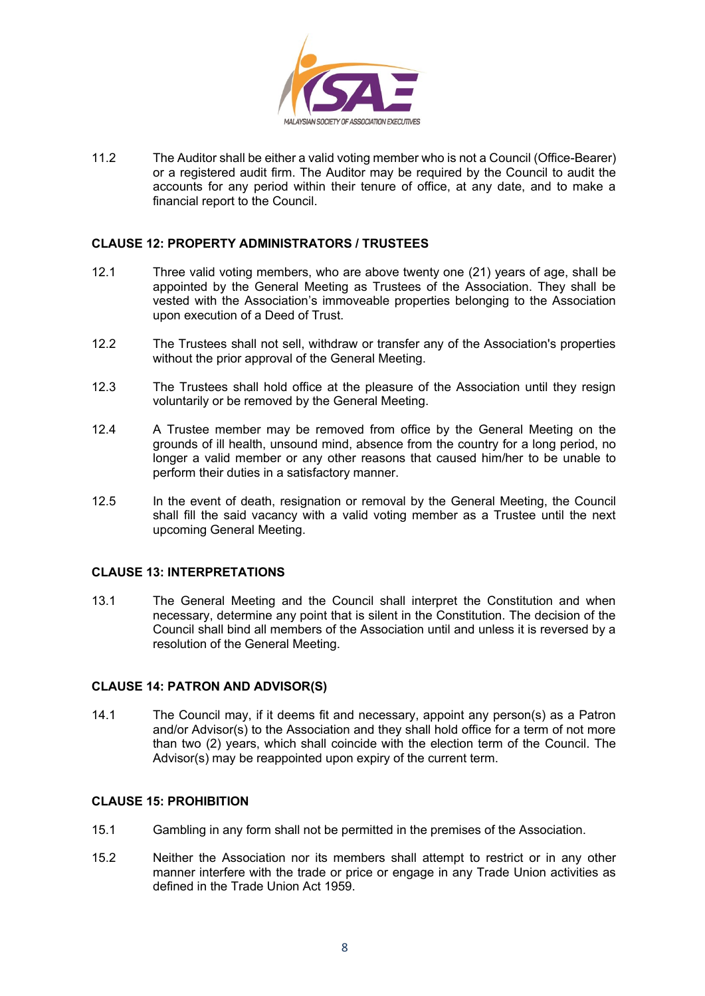

11.2 The Auditor shall be either a valid voting member who is not a Council (Office-Bearer) or a registered audit firm. The Auditor may be required by the Council to audit the accounts for any period within their tenure of office, at any date, and to make a financial report to the Council.

### **CLAUSE 12: PROPERTY ADMINISTRATORS / TRUSTEES**

- 12.1 Three valid voting members, who are above twenty one (21) years of age, shall be appointed by the General Meeting as Trustees of the Association. They shall be vested with the Association's immoveable properties belonging to the Association upon execution of a Deed of Trust.
- 12.2 The Trustees shall not sell, withdraw or transfer any of the Association's properties without the prior approval of the General Meeting.
- 12.3 The Trustees shall hold office at the pleasure of the Association until they resign voluntarily or be removed by the General Meeting.
- 12.4 A Trustee member may be removed from office by the General Meeting on the grounds of ill health, unsound mind, absence from the country for a long period, no longer a valid member or any other reasons that caused him/her to be unable to perform their duties in a satisfactory manner.
- 12.5 In the event of death, resignation or removal by the General Meeting, the Council shall fill the said vacancy with a valid voting member as a Trustee until the next upcoming General Meeting.

#### **CLAUSE 13: INTERPRETATIONS**

13.1 The General Meeting and the Council shall interpret the Constitution and when necessary, determine any point that is silent in the Constitution. The decision of the Council shall bind all members of the Association until and unless it is reversed by a resolution of the General Meeting.

#### **CLAUSE 14: PATRON AND ADVISOR(S)**

14.1 The Council may, if it deems fit and necessary, appoint any person(s) as a Patron and/or Advisor(s) to the Association and they shall hold office for a term of not more than two (2) years, which shall coincide with the election term of the Council. The Advisor(s) may be reappointed upon expiry of the current term.

#### **CLAUSE 15: PROHIBITION**

- 15.1 Gambling in any form shall not be permitted in the premises of the Association.
- 15.2 Neither the Association nor its members shall attempt to restrict or in any other manner interfere with the trade or price or engage in any Trade Union activities as defined in the Trade Union Act 1959.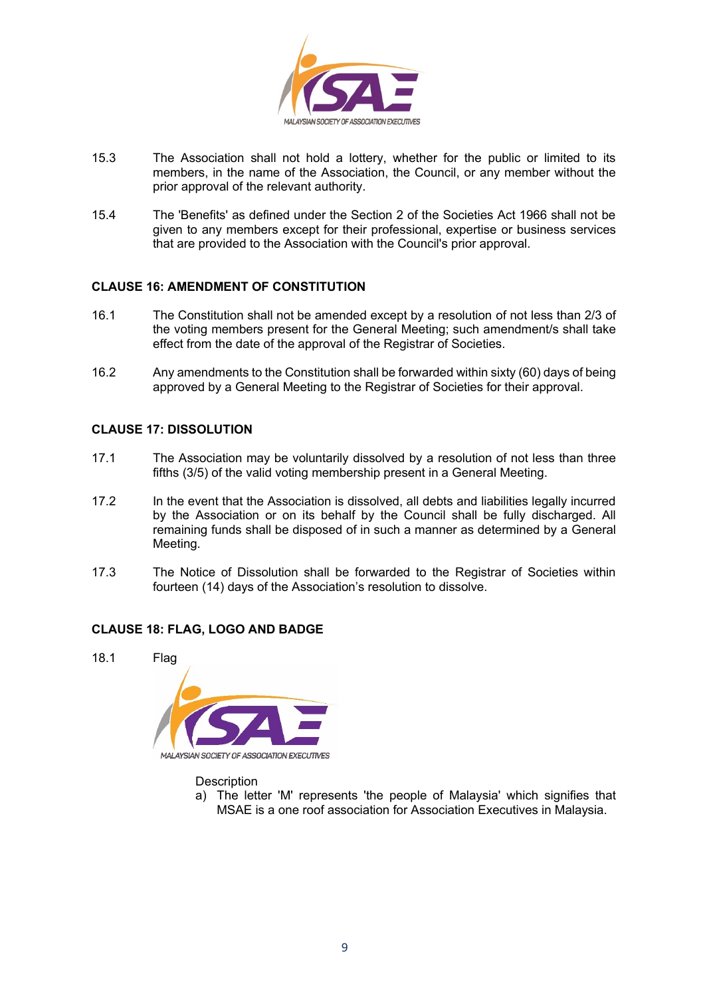

- 15.3 The Association shall not hold a lottery, whether for the public or limited to its members, in the name of the Association, the Council, or any member without the prior approval of the relevant authority.
- 15.4 The 'Benefits' as defined under the Section 2 of the Societies Act 1966 shall not be given to any members except for their professional, expertise or business services that are provided to the Association with the Council's prior approval.

# **CLAUSE 16: AMENDMENT OF CONSTITUTION**

- 16.1 The Constitution shall not be amended except by a resolution of not less than 2/3 of the voting members present for the General Meeting; such amendment/s shall take effect from the date of the approval of the Registrar of Societies.
- 16.2 Any amendments to the Constitution shall be forwarded within sixty (60) days of being approved by a General Meeting to the Registrar of Societies for their approval.

# **CLAUSE 17: DISSOLUTION**

- 17.1 The Association may be voluntarily dissolved by a resolution of not less than three fifths (3/5) of the valid voting membership present in a General Meeting.
- 17.2 In the event that the Association is dissolved, all debts and liabilities legally incurred by the Association or on its behalf by the Council shall be fully discharged. All remaining funds shall be disposed of in such a manner as determined by a General Meeting.
- 17.3 The Notice of Dissolution shall be forwarded to the Registrar of Societies within fourteen (14) days of the Association's resolution to dissolve.

# **CLAUSE 18: FLAG, LOGO AND BADGE**





**Description** 

a) The letter 'M' represents 'the people of Malaysia' which signifies that MSAE is a one roof association for Association Executives in Malaysia.